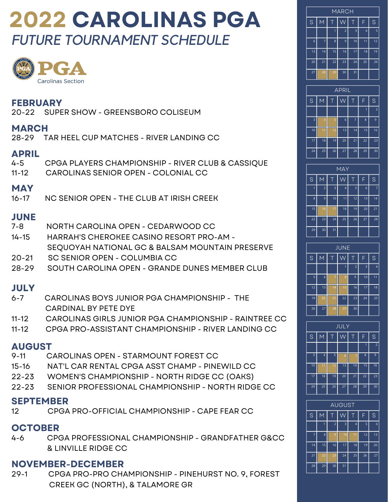# **2022 CAROLINAS PGA** *FUTURE TOURNAMENT SCHEDULE*



# **FEBRUARY**<br>20-22 SUPF

SUPER SHOW - GREENSBORO COLISEUM

### **MARCH**

28-29 TAR HEEL CUP MATCHES - RIVER LANDING CC

### **APRIL**

| _____      |                                                   |
|------------|---------------------------------------------------|
| 4-5        | CPGA PLAYERS CHAMPIONSHIP - RIVER CLUB & CASSIQUE |
|            | 11-12 CAROLINAS SENIOR OPEN - COLONIAL CC         |
| <b>MAY</b> |                                                   |
|            | 16-17 NC SENIOR OPEN - THE CLUB AT IRISH CREEK    |

# **JUNE**

- 7-8 NORTH CAROLINA OPEN CEDARWOOD CC
- 14-15 HARRAH'S CHEROKEE CASINO RESORT PRO-AM SEQUOYAH NATIONAL GC & BALSAM MOUNTAIN PRESERVE
- 20-21 SC SENIOR OPEN COLUMBIA CC
- 28-29 SOUTH CAROLINA OPEN GRANDE DUNES MEMBER CLUB

## **JULY**

- 6-7 CAROLINAS BOYS JUNIOR PGA CHAMPIONSHIP THE CARDINAL BY PETE DYE
- 11-12 CAROLINAS GIRLS JUNIOR PGA CHAMPIONSHIP RAINTREE CC
- 11-12 CPGA PRO-ASSISTANT CHAMPIONSHIP RIVER LANDING CC

# **AUGUST**

- CAROLINAS OPEN STARMOUNT FOREST CC
- 15-16 NAT'L CAR RENTAL CPGA ASST CHAMP PINEWILD CC
- 22-23 WOMEN'S CHAMPIONSHIP NORTH RIDGE CC (OAKS)
- 22-23 SENIOR PROFESSIONAL CHAMPIONSHIP NORTH RIDGE CC

#### **SEPTEMBER**

12 CPGA PRO-OFFICIAL CHAMPIONSHIP - CAPE FEAR CC

## **OCTOBER**

4-6 CPGA PROFESSIONAL CHAMPIONSHIP - GRANDFATHER G&CC & LINVILLE RIDGE CC

## **NOVEMBER-DECEMBER**

29-1 CPGA PRO-PRO CHAMPIONSHIP - PINEHURST NO. 9, FOREST CREEK GC (NORTH), & TALAMORE GR

| <b>MARCH</b> |                  |    |                |    |                |    |  |  |  |
|--------------|------------------|----|----------------|----|----------------|----|--|--|--|
| S            | Ē<br>M<br>Τ<br>Τ |    |                |    |                |    |  |  |  |
|              |                  | 1  | $\overline{2}$ | 3  | $\overline{4}$ | 5  |  |  |  |
| 6            | $\overline{7}$   | 8  | 9              | 10 | 11             | 12 |  |  |  |
| 13           | 14               | 15 | 16             | 17 | 18             | 19 |  |  |  |
| 20           | 21               | 22 | 23             | 24 | 25             | 26 |  |  |  |
| 27           | 28               | 29 | 30             | 31 |                |    |  |  |  |

|    | <b>APRIL</b>   |    |    |    |    |                |  |  |  |
|----|----------------|----|----|----|----|----------------|--|--|--|
| S  | $\overline{M}$ | Τ  |    | Τ  | F  | S              |  |  |  |
|    |                |    |    |    | 1  | $\overline{2}$ |  |  |  |
| 3  | $\overline{4}$ | 5  | 6  | 7  | 8  | 9              |  |  |  |
| 10 | 11             | 12 | 13 | 14 | 15 | 16             |  |  |  |
| 17 | 18             | 19 | 20 | 21 | 22 | 23             |  |  |  |
| 24 | 25             | 26 | 27 | 28 | 29 | 30             |  |  |  |

| <b>MAY</b> |             |                         |    |    |    |                |  |  |  |
|------------|-------------|-------------------------|----|----|----|----------------|--|--|--|
| S          | M           | Τ                       | Ŵ  | Τ  | F  | S              |  |  |  |
| 1          | $\mathbf 2$ | $\overline{\mathbf{3}}$ | 4  | 5  | 6  | $\overline{7}$ |  |  |  |
| 8          | 9           | 10                      | 11 | 12 | 13 | 14             |  |  |  |
| 15         | 16          | 17                      | 18 | 19 | 20 | 21             |  |  |  |
| 22         | 23          | 24                      | 25 | 26 | 27 | 28             |  |  |  |
| 29         | 30          | 31                      |    |    |    |                |  |  |  |